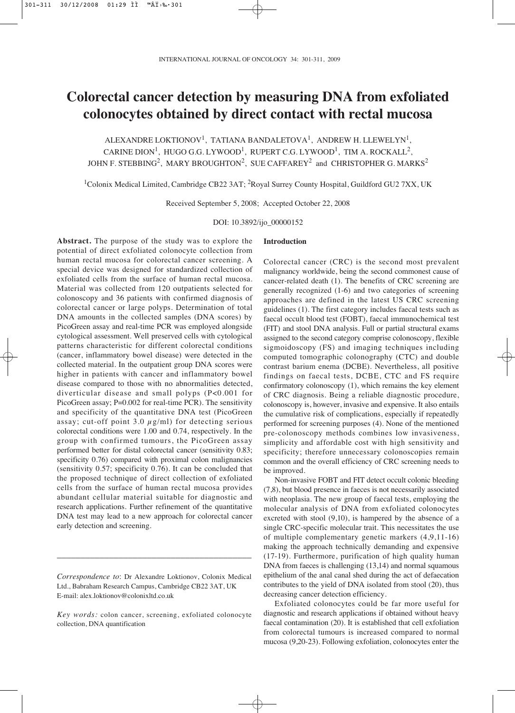# **Colorectal cancer detection by measuring DNA from exfoliated colonocytes obtained by direct contact with rectal mucosa**

ALEXANDRE LOKTIONOV<sup>1</sup>, TATIANA BANDALETOVA<sup>1</sup>, ANDREW H. LLEWELYN<sup>1</sup>, CARINE DION<sup>1</sup>, HUGO G.G. LYWOOD<sup>1</sup>, RUPERT C.G. LYWOOD<sup>1</sup>, TIM A. ROCKALL<sup>2</sup>, JOHN F. STEBBING<sup>2</sup>, MARY BROUGHTON<sup>2</sup>, SUE CAFFAREY<sup>2</sup> and CHRISTOPHER G. MARKS<sup>2</sup>

<sup>1</sup>Colonix Medical Limited, Cambridge CB22 3AT; <sup>2</sup>Royal Surrey County Hospital, Guildford GU2 7XX, UK

Received September 5, 2008; Accepted October 22, 2008

DOI: 10.3892/ijo\_00000152

**Abstract.** The purpose of the study was to explore the potential of direct exfoliated colonocyte collection from human rectal mucosa for colorectal cancer screening. A special device was designed for standardized collection of exfoliated cells from the surface of human rectal mucosa. Material was collected from 120 outpatients selected for colonoscopy and 36 patients with confirmed diagnosis of colorectal cancer or large polyps. Determination of total DNA amounts in the collected samples (DNA scores) by PicoGreen assay and real-time PCR was employed alongside cytological assessment. Well preserved cells with cytological patterns characteristic for different colorectal conditions (cancer, inflammatory bowel disease) were detected in the collected material. In the outpatient group DNA scores were higher in patients with cancer and inflammatory bowel disease compared to those with no abnormalities detected, diverticular disease and small polyps (P<0.001 for PicoGreen assay; P=0.002 for real-time PCR). The sensitivity and specificity of the quantitative DNA test (PicoGreen assay; cut-off point 3.0  $\mu$ g/ml) for detecting serious colorectal conditions were 1.00 and 0.74, respectively. In the group with confirmed tumours, the PicoGreen assay performed better for distal colorectal cancer (sensitivity 0.83; specificity 0.76) compared with proximal colon malignancies (sensitivity 0.57; specificity 0.76). It can be concluded that the proposed technique of direct collection of exfoliated cells from the surface of human rectal mucosa provides abundant cellular material suitable for diagnostic and research applications. Further refinement of the quantitative DNA test may lead to a new approach for colorectal cancer early detection and screening.

\_\_\_\_\_\_\_\_\_\_\_\_\_\_\_\_\_\_\_\_\_\_\_\_\_\_\_\_\_\_\_\_\_\_\_\_\_\_\_\_\_

#### **Introduction**

Colorectal cancer (CRC) is the second most prevalent malignancy worldwide, being the second commonest cause of cancer-related death (1). The benefits of CRC screening are generally recognized (1-6) and two categories of screening approaches are defined in the latest US CRC screening guidelines (1). The first category includes faecal tests such as faecal occult blood test (FOBT), faecal immunochemical test (FIT) and stool DNA analysis. Full or partial structural exams assigned to the second category comprise colonoscopy, flexible sigmoidoscopy (FS) and imaging techniques including computed tomographic colonography (CTC) and double contrast barium enema (DCBE). Nevertheless, all positive findings on faecal tests, DCBE, CTC and FS require confirmatory colonoscopy (1), which remains the key element of CRC diagnosis. Being a reliable diagnostic procedure, colonoscopy is, however, invasive and expensive. It also entails the cumulative risk of complications, especially if repeatedly performed for screening purposes (4). None of the mentioned pre-colonoscopy methods combines low invasiveness, simplicity and affordable cost with high sensitivity and specificity; therefore unnecessary colonoscopies remain common and the overall efficiency of CRC screening needs to be improved.

Non-invasive FOBT and FIT detect occult colonic bleeding (7,8), but blood presence in faeces is not necessarily associated with neoplasia. The new group of faecal tests, employing the molecular analysis of DNA from exfoliated colonocytes excreted with stool (9,10), is hampered by the absence of a single CRC-specific molecular trait. This necessitates the use of multiple complementary genetic markers (4,9,11-16) making the approach technically demanding and expensive (17-19). Furthermore, purification of high quality human DNA from faeces is challenging (13,14) and normal squamous epithelium of the anal canal shed during the act of defaecation contributes to the yield of DNA isolated from stool (20), thus decreasing cancer detection efficiency.

Exfoliated colonocytes could be far more useful for diagnostic and research applications if obtained without heavy faecal contamination (20). It is established that cell exfoliation from colorectal tumours is increased compared to normal mucosa (9,20-23). Following exfoliation, colonocytes enter the

*Correspondence to*: Dr Alexandre Loktionov, Colonix Medical Ltd., Babraham Research Campus, Cambridge CB22 3AT, UK E-mail: alex.loktionov@colonixltd.co.uk

*Key words:* colon cancer, screening, exfoliated colonocyte collection, DNA quantification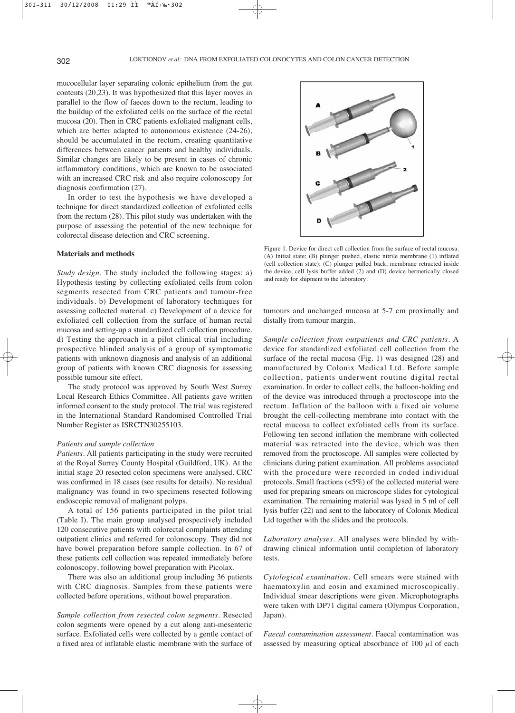mucocellular layer separating colonic epithelium from the gut contents (20,23). It was hypothesized that this layer moves in parallel to the flow of faeces down to the rectum, leading to the buildup of the exfoliated cells on the surface of the rectal mucosa (20). Then in CRC patients exfoliated malignant cells, which are better adapted to autonomous existence (24-26), should be accumulated in the rectum, creating quantitative differences between cancer patients and healthy individuals. Similar changes are likely to be present in cases of chronic inflammatory conditions, which are known to be associated with an increased CRC risk and also require colonoscopy for diagnosis confirmation (27).

In order to test the hypothesis we have developed a technique for direct standardized collection of exfoliated cells from the rectum (28). This pilot study was undertaken with the purpose of assessing the potential of the new technique for colorectal disease detection and CRC screening.

#### **Materials and methods**

*Study design*. The study included the following stages: a) Hypothesis testing by collecting exfoliated cells from colon segments resected from CRC patients and tumour-free individuals. b) Development of laboratory techniques for assessing collected material. c) Development of a device for exfoliated cell collection from the surface of human rectal mucosa and setting-up a standardized cell collection procedure. d) Testing the approach in a pilot clinical trial including prospective blinded analysis of a group of symptomatic patients with unknown diagnosis and analysis of an additional group of patients with known CRC diagnosis for assessing possible tumour site effect.

The study protocol was approved by South West Surrey Local Research Ethics Committee. All patients gave written informed consent to the study protocol. The trial was registered in the International Standard Randomised Controlled Trial Number Register as ISRCTN30255103.

#### *Patients and sample collection*

*Patients*. All patients participating in the study were recruited at the Royal Surrey County Hospital (Guildford, UK). At the initial stage 20 resected colon specimens were analysed. CRC was confirmed in 18 cases (see results for details). No residual malignancy was found in two specimens resected following endoscopic removal of malignant polyps.

A total of 156 patients participated in the pilot trial (Table I). The main group analysed prospectively included 120 consecutive patients with colorectal complaints attending outpatient clinics and referred for colonoscopy. They did not have bowel preparation before sample collection. In 67 of these patients cell collection was repeated immediately before colonoscopy, following bowel preparation with Picolax.

There was also an additional group including 36 patients with CRC diagnosis. Samples from these patients were collected before operations, without bowel preparation.

*Sample collection from resected colon segments*. Resected colon segments were opened by a cut along anti-mesenteric surface. Exfoliated cells were collected by a gentle contact of a fixed area of inflatable elastic membrane with the surface of



Figure 1. Device for direct cell collection from the surface of rectal mucosa. (A) Initial state; (B) plunger pushed, elastic nitrile membrane (1) inflated (cell collection state); (C) plunger pulled back, membrane retracted inside the device, cell lysis buffer added (2) and (D) device hermetically closed and ready for shipment to the laboratory.

tumours and unchanged mucosa at 5-7 cm proximally and distally from tumour margin.

*Sample collection from outpatients and CRC patients*. A device for standardized exfoliated cell collection from the surface of the rectal mucosa (Fig. 1) was designed (28) and manufactured by Colonix Medical Ltd. Before sample collection, patients underwent routine digital rectal examination. In order to collect cells, the balloon-holding end of the device was introduced through a proctoscope into the rectum. Inflation of the balloon with a fixed air volume brought the cell-collecting membrane into contact with the rectal mucosa to collect exfoliated cells from its surface. Following ten second inflation the membrane with collected material was retracted into the device, which was then removed from the proctoscope. All samples were collected by clinicians during patient examination. All problems associated with the procedure were recorded in coded individual protocols. Small fractions (<5%) of the collected material were used for preparing smears on microscope slides for cytological examination. The remaining material was lysed in 5 ml of cell lysis buffer (22) and sent to the laboratory of Colonix Medical Ltd together with the slides and the protocols.

*Laboratory analyses*. All analyses were blinded by withdrawing clinical information until completion of laboratory tests.

*Cytological examination*. Cell smears were stained with haematoxylin and eosin and examined microscopically. Individual smear descriptions were given. Microphotographs were taken with DP71 digital camera (Olympus Corporation, Japan).

*Faecal contamination assessment*. Faecal contamination was assessed by measuring optical absorbance of 100  $\mu$ l of each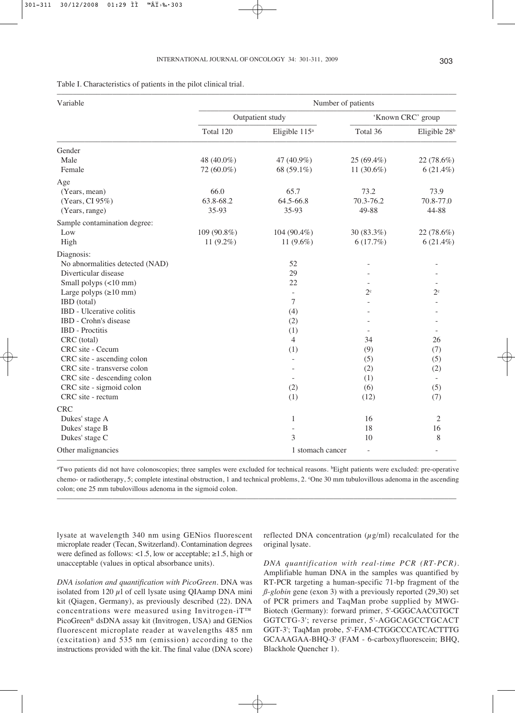| Table I. Characteristics of patients in the pilot clinical trial. |  |  |  |
|-------------------------------------------------------------------|--|--|--|
|-------------------------------------------------------------------|--|--|--|

| Variable                        | Number of patients |                           |                |                          |  |  |
|---------------------------------|--------------------|---------------------------|----------------|--------------------------|--|--|
|                                 |                    | Outpatient study          |                | 'Known CRC' group        |  |  |
|                                 | Total 120          | Eligible 115 <sup>a</sup> | Total 36       | Eligible 28 <sup>b</sup> |  |  |
| Gender                          |                    |                           |                |                          |  |  |
| Male                            | 48 (40.0%)         | 47 (40.9%)                | 25 (69.4%)     | 22 (78.6%)               |  |  |
| Female                          | 72 (60.0%)         | 68 (59.1%)                | 11 (30.6%)     | $6(21.4\%)$              |  |  |
| Age                             |                    |                           |                |                          |  |  |
| (Years, mean)                   | 66.0               | 65.7                      | 73.2           | 73.9                     |  |  |
| (Years, CI 95%)                 | 63.8-68.2          | 64.5-66.8                 | 70.3-76.2      | 70.8-77.0                |  |  |
| (Years, range)                  | 35-93              | 35-93                     | 49-88          | 44-88                    |  |  |
| Sample contamination degree:    |                    |                           |                |                          |  |  |
| Low                             | 109 (90.8%)        | 104 (90.4%)               | 30 (83.3%)     | 22 (78.6%)               |  |  |
| High                            | 11 $(9.2\%)$       | 11 (9.6%)                 | 6(17.7%)       | $6(21.4\%)$              |  |  |
| Diagnosis:                      |                    |                           |                |                          |  |  |
| No abnormalities detected (NAD) |                    | 52                        |                |                          |  |  |
| Diverticular disease            |                    | 29                        |                |                          |  |  |
| Small polyps (<10 mm)           |                    | 22                        |                |                          |  |  |
| Large polyps $(\geq 10$ mm)     |                    | $\overline{a}$            | $2^{\circ}$    | $2^{\circ}$              |  |  |
| IBD (total)                     |                    | 7                         |                |                          |  |  |
| IBD - Ulcerative colitis        |                    | (4)                       |                |                          |  |  |
| IBD - Crohn's disease           |                    | (2)                       |                |                          |  |  |
| <b>IBD</b> - Proctitis          |                    | (1)                       |                |                          |  |  |
| CRC (total)                     |                    | $\overline{4}$            | 34             | 26                       |  |  |
| CRC site - Cecum                |                    | (1)                       | (9)            | (7)                      |  |  |
| CRC site - ascending colon      |                    |                           | (5)            | (5)                      |  |  |
| CRC site - transverse colon     |                    |                           | (2)            | (2)                      |  |  |
| CRC site - descending colon     |                    |                           | (1)            | $\sim$                   |  |  |
| CRC site - sigmoid colon        |                    | (2)                       | (6)            | (5)                      |  |  |
| CRC site - rectum               |                    | (1)                       | (12)           | (7)                      |  |  |
| <b>CRC</b>                      |                    |                           |                |                          |  |  |
| Dukes' stage A                  |                    | $\mathbf{1}$              | 16             | $\overline{2}$           |  |  |
| Dukes' stage B                  |                    |                           | 18             | 16                       |  |  |
| Dukes' stage C                  |                    | 3                         | 10             | 8                        |  |  |
| Other malignancies              |                    | 1 stomach cancer          | $\overline{a}$ |                          |  |  |

<sup>a</sup>Two patients did not have colonoscopies; three samples were excluded for technical reasons. **Eight patients were excluded**: pre-operative chemo- or radiotherapy, 5; complete intestinal obstruction, 1 and technical problems, 2. °One 30 mm tubulovillous adenoma in the ascending colon; one 25 mm tubulovillous adenoma in the sigmoid colon.

–––––––––––––––––––––––––––––––––––––––––––––––––––––––––––––––––––––––––––––––––––––––––––––––––––––

lysate at wavelength 340 nm using GENios fluorescent microplate reader (Tecan, Switzerland). Contamination degrees were defined as follows: <1.5, low or acceptable;  $\geq$ 1.5, high or unacceptable (values in optical absorbance units).

*DNA isolation and quantification with PicoGreen*. DNA was isolated from 120  $\mu$ l of cell lysate using QIAamp DNA mini kit (Qiagen, Germany), as previously described (22). DNA concentrations were measured using Invitrogen-iT™ PicoGreen® dsDNA assay kit (Invitrogen, USA) and GENios fluorescent microplate reader at wavelengths 485 nm (excitation) and 535 nm (emission) according to the instructions provided with the kit. The final value (DNA score) reflected DNA concentration  $(\mu g/ml)$  recalculated for the original lysate.

*DNA quantification with real-time PCR (RT-PCR)*. Amplifiable human DNA in the samples was quantified by RT-PCR targeting a human-specific 71-bp fragment of the  $\beta$ -globin gene (exon 3) with a previously reported (29,30) set of PCR primers and TaqMan probe supplied by MWG-Biotech (Germany): forward primer, 5'-GGGCAACGTGCT GGTCTG-3'; reverse primer, 5'-AGGCAGCCTGCACT GGT-3'; TaqMan probe, 5'-FAM-CTGGCCCATCACTTTG GCAAAGAA-BHQ-3' (FAM - 6-carboxyfluorescein; BHQ, Blackhole Quencher 1).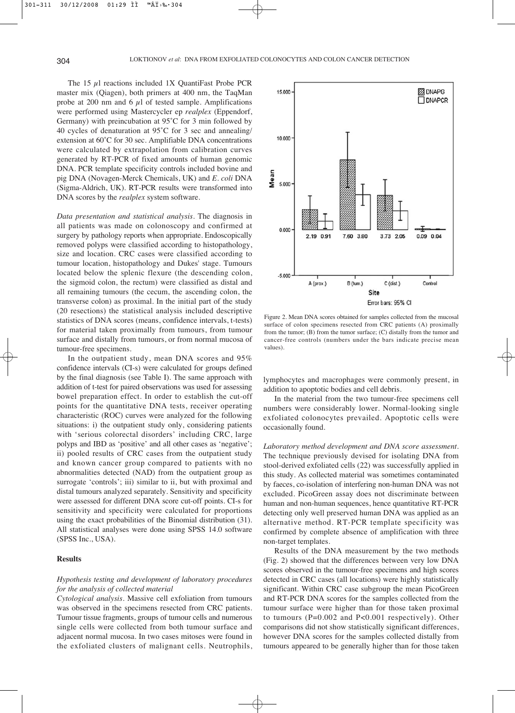The 15 μl reactions included 1X QuantiFast Probe PCR master mix (Qiagen), both primers at 400 nm, the TaqMan probe at 200 nm and 6  $\mu$ l of tested sample. Amplifications were performed using Mastercycler ep *realplex* (Eppendorf, Germany) with preincubation at 95˚C for 3 min followed by 40 cycles of denaturation at 95˚C for 3 sec and annealing/ extension at 60˚C for 30 sec. Amplifiable DNA concentrations were calculated by extrapolation from calibration curves generated by RT-PCR of fixed amounts of human genomic DNA. PCR template specificity controls included bovine and pig DNA (Novagen-Merck Chemicals, UK) and *E. coli* DNA (Sigma-Aldrich, UK). RT-PCR results were transformed into DNA scores by the *realplex* system software.

*Data presentation and statistical analysis*. The diagnosis in all patients was made on colonoscopy and confirmed at surgery by pathology reports when appropriate. Endoscopically removed polyps were classified according to histopathology, size and location. CRC cases were classified according to tumour location, histopathology and Dukes' stage. Tumours located below the splenic flexure (the descending colon, the sigmoid colon, the rectum) were classified as distal and all remaining tumours (the cecum, the ascending colon, the transverse colon) as proximal. In the initial part of the study (20 resections) the statistical analysis included descriptive statistics of DNA scores (means, confidence intervals, t-tests) for material taken proximally from tumours, from tumour surface and distally from tumours, or from normal mucosa of tumour-free specimens.

In the outpatient study, mean DNA scores and 95% confidence intervals (CI-s) were calculated for groups defined by the final diagnosis (see Table I). The same approach with addition of t-test for paired observations was used for assessing bowel preparation effect. In order to establish the cut-off points for the quantitative DNA tests, receiver operating characteristic (ROC) curves were analyzed for the following situations: i) the outpatient study only, considering patients with 'serious colorectal disorders' including CRC, large polyps and IBD as 'positive' and all other cases as 'negative'; ii) pooled results of CRC cases from the outpatient study and known cancer group compared to patients with no abnormalities detected (NAD) from the outpatient group as surrogate 'controls'; iii) similar to ii, but with proximal and distal tumours analyzed separately. Sensitivity and specificity were assessed for different DNA score cut-off points. CI-s for sensitivity and specificity were calculated for proportions using the exact probabilities of the Binomial distribution (31). All statistical analyses were done using SPSS 14.0 software (SPSS Inc., USA).

### **Results**

## *Hypothesis testing and development of laboratory procedures for the analysis of collected material*

*Cytological analysis*. Massive cell exfoliation from tumours was observed in the specimens resected from CRC patients. Tumour tissue fragments, groups of tumour cells and numerous single cells were collected from both tumour surface and adjacent normal mucosa. In two cases mitoses were found in the exfoliated clusters of malignant cells. Neutrophils,



Figure 2. Mean DNA scores obtained for samples collected from the mucosal surface of colon specimens resected from CRC patients (A) proximally from the tumor; (B) from the tumor surface; (C) distally from the tumor and cancer-free controls (numbers under the bars indicate precise mean values).

lymphocytes and macrophages were commonly present, in addition to apoptotic bodies and cell debris.

In the material from the two tumour-free specimens cell numbers were considerably lower. Normal-looking single exfoliated colonocytes prevailed. Apoptotic cells were occasionally found.

*Laboratory method development and DNA score assessment*. The technique previously devised for isolating DNA from stool-derived exfoliated cells (22) was successfully applied in this study. As collected material was sometimes contaminated by faeces, co-isolation of interfering non-human DNA was not excluded. PicoGreen assay does not discriminate between human and non-human sequences, hence quantitative RT-PCR detecting only well preserved human DNA was applied as an alternative method. RT-PCR template specificity was confirmed by complete absence of amplification with three non-target templates.

Results of the DNA measurement by the two methods (Fig. 2) showed that the differences between very low DNA scores observed in the tumour-free specimens and high scores detected in CRC cases (all locations) were highly statistically significant. Within CRC case subgroup the mean PicoGreen and RT-PCR DNA scores for the samples collected from the tumour surface were higher than for those taken proximal to tumours (P=0.002 and P<0.001 respectively). Other comparisons did not show statistically significant differences, however DNA scores for the samples collected distally from tumours appeared to be generally higher than for those taken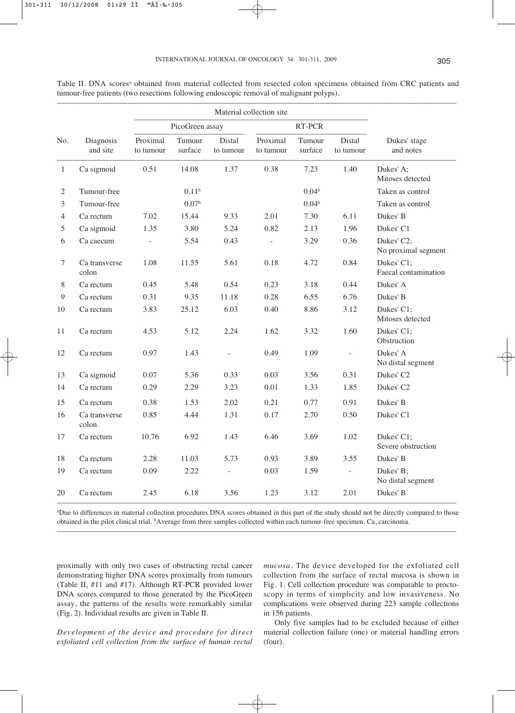|                |                        | Material collection site |                   |                          |                       |                   |                     |                                    |
|----------------|------------------------|--------------------------|-------------------|--------------------------|-----------------------|-------------------|---------------------|------------------------------------|
|                |                        | PicoGreen assay          |                   |                          | RT-PCR                |                   |                     |                                    |
| No.            | Diagnosis<br>and site  | Proximal<br>to tumour    | Tumour<br>surface | Distal<br>to tumour      | Proximal<br>to tumour | Tumour<br>surface | Distal<br>to tumour | Dukes' stage<br>and notes          |
| $\mathbf{1}$   | Ca sigmoid             | 0.51                     | 14.08             | 1.37                     | 0.38                  | 7.23              | 1.40                | Dukes' A;<br>Mitoses detected      |
| $\mathfrak{2}$ | Tumour-free            |                          | 0.11 <sup>b</sup> |                          |                       | 0.04 <sup>b</sup> |                     | Taken as control                   |
| 3              | Tumour-free            |                          | 0.07 <sup>b</sup> |                          |                       | 0.04 <sup>b</sup> |                     | Taken as control                   |
| 4              | Ca rectum              | 7.02                     | 15.44             | 9.33                     | 2.01                  | 7.30              | 6.11                | Dukes' B                           |
| 5              | Ca sigmoid             | 1.35                     | 3.80              | 5.24                     | 0.82                  | 2.13              | 1.96                | Dukes' C1                          |
| 6              | Ca caecum              |                          | 5.54              | 0.43                     | ÷,                    | 3.29              | 0.36                | Dukes' C2;<br>No proximal segment  |
| $\tau$         | Ca transverse<br>colon | 1.08                     | 11.55             | 5.61                     | 0.18                  | 4.72              | 0.84                | Dukes' C1;<br>Faecal contamination |
| $8\,$          | Ca rectum              | 0.45                     | 5.48              | 0.54                     | 0.23                  | 3.18              | 0.44                | Dukes' A                           |
| $\overline{9}$ | Ca rectum              | 0.31                     | 9.35              | 11.18                    | 0.28                  | 6.55              | 6.76                | Dukes' B                           |
| 10             | Ca rectum              | 3.83                     | 25.12             | 6.03                     | 0.40                  | 8.86              | 3.12                | Dukes' C1;<br>Mitoses detected     |
| 11             | Ca rectum              | 4.53                     | 5.12              | 2.24                     | 1.62                  | 3.32              | 1.60                | Dukes' C1;<br>Obstruction          |
| 12             | Ca rectum              | 0.97                     | 1.43              |                          | 0.49                  | 1.09              |                     | Dukes' A<br>No distal segment      |
| 13             | Ca sigmoid             | 0.07                     | 5.36              | 0.33                     | 0.03                  | 3.56              | 0.31                | Dukes' C <sub>2</sub>              |
| 14             | Ca rectum              | 0.29                     | 2.29              | 3.23                     | 0.01                  | 1.33              | 1.85                | Dukes' C2                          |
| 15             | Ca rectum              | 0.38                     | 1.53              | 2.02                     | 0.21                  | 0.77              | 0.91                | Dukes' B                           |
| 16             | Ca transverse<br>colon | 0.85                     | 4.44              | 1.31                     | 0.17                  | 2.70              | 0.50                | Dukes' C1                          |
| 17             | Ca rectum              | 10.76                    | 6.92              | 1.43                     | 6.46                  | 3.69              | 1.02                | Dukes' C1;<br>Severe obstruction   |
| 18             | Ca rectum              | 2.28                     | 11.03             | 5.73                     | 0.93                  | 3.89              | 3.55                | Dukes' B                           |
| 19             | Ca rectum              | 0.09                     | 2.22              | $\overline{\phantom{a}}$ | 0.03                  | 1.59              | $\Box$              | Dukes' B;<br>No distal segment     |
| 20             | Ca rectum              | 2.45                     | 6.18              | 3.56                     | 1.23                  | 3.12              | 2.01                | Dukes' B                           |

Table II. DNA scores<sup>a</sup> obtained from material collected from resected colon specimens obtained from CRC patients and tumour-free patients (two resections following endoscopic removal of malignant polyps).

––––––––––––––––––––––––––––––––––––––––––––––––––––––––––––––––––––––––––––––––––––––––––––––––––––– a Due to differences in material collection procedures DNA scores obtained in this part of the study should not be directly compared to those obtained in the pilot clinical trial. bAverage from three samples collected within each tumour-free specimen. Ca, carcinoma. –––––––––––––––––––––––––––––––––––––––––––––––––––––––––––––––––––––––––––––––––––––––––––––––––––––

proximally with only two cases of obstructing rectal cancer demonstrating higher DNA scores proximally from tumours (Table II, #11 and #17). Although RT-PCR provided lower DNA scores compared to those generated by the PicoGreen assay, the patterns of the results were remarkably similar (Fig. 2). Individual results are given in Table II.

*Development of the device and procedure for direct exfoliated cell collection from the surface of human rectal*

*mucosa*. The device developed for the exfoliated cell collection from the surface of rectal mucosa is shown in Fig. 1. Cell collection procedure was comparable to proctoscopy in terms of simplicity and low invasiveness. No complications were observed during 223 sample collections in 156 patients.

Only five samples had to be excluded because of either material collection failure (one) or material handling errors (four).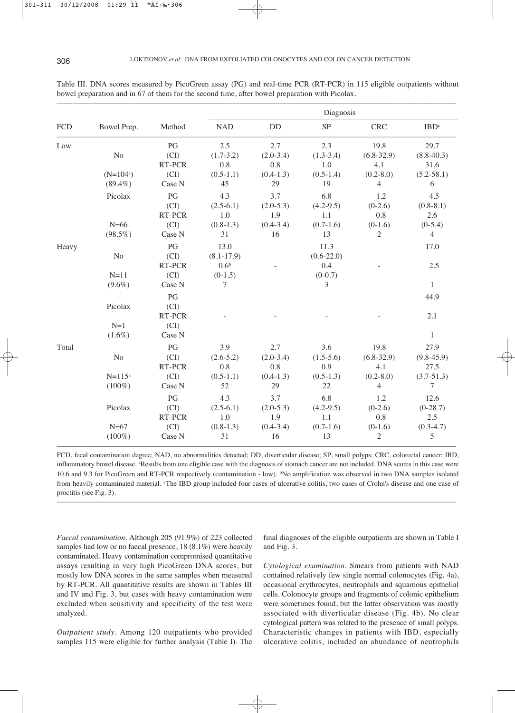|            |                           |                              | Diagnosis                                |                                              |                                            |                                      |                                          |  |
|------------|---------------------------|------------------------------|------------------------------------------|----------------------------------------------|--------------------------------------------|--------------------------------------|------------------------------------------|--|
| <b>FCD</b> | Bowel Prep.               | Method                       | <b>NAD</b>                               | <b>DD</b>                                    | <b>SP</b>                                  | <b>CRC</b>                           | IBD <sup>c</sup>                         |  |
| Low        | $\rm No$                  | PG<br>(CI)<br>RT-PCR         | 2.5<br>$(1.7 - 3.2)$<br>$0.8\,$          | 2.7<br>$(2.0 - 3.4)$<br>0.8                  | 2.3<br>$(1.3 - 3.4)$<br>1.0                | 19.8<br>$(6.8 - 32.9)$<br>4.1        | 29.7<br>$(8.8-40.3)$<br>31.6             |  |
|            | $(N=104^a)$<br>$(89.4\%)$ | (CI)<br>Case N               | $(0.5-1.1)$<br>45                        | $(0.4-1.3)$<br>29                            | $(0.5-1.4)$<br>19                          | $(0.2 - 8.0)$<br>$\overline{4}$      | $(5.2 - 58.1)$<br>6                      |  |
|            | Picolax<br>$N=66$         | PG<br>(CI)<br>RT-PCR<br>(CI) | 4.3<br>$(2.5-6.1)$<br>1.0<br>$(0.8-1.3)$ | 3.7<br>$(2.0 - 5.3)$<br>1.9<br>$(0.4 - 3.4)$ | 6.8<br>$(4.2 - 9.5)$<br>1.1<br>$(0.7-1.6)$ | 1.2<br>$(0-2.6)$<br>0.8<br>$(0-1.6)$ | 4.5<br>$(0.8 - 8.1)$<br>2.6<br>$(0-5.4)$ |  |
|            | $(98.5\%)$                | Case N                       | 31                                       | 16                                           | 13                                         | $\overline{2}$                       | $\overline{4}$                           |  |
| Heavy      | No                        | PG<br>(CI)                   | 13.0<br>$(8.1 - 17.9)$                   |                                              | 11.3<br>$(0.6-22.0)$                       |                                      | 17.0                                     |  |
|            | $N=11$<br>$(9.6\%)$       | RT-PCR<br>(CI)<br>Case N     | 0.6 <sup>b</sup><br>$(0-1.5)$<br>7       |                                              | 0.4<br>$(0-0.7)$<br>3                      |                                      | 2.5<br>$\mathbf{1}$                      |  |
|            | Picolax<br>$N=1$          | PG<br>(CI)<br>RT-PCR<br>(CI) |                                          |                                              |                                            |                                      | 44.9<br>2.1                              |  |
|            | $(1.6\%)$                 | Case N                       |                                          |                                              |                                            |                                      | $\mathbf{1}$                             |  |
| Total      | No                        | PG<br>(CI)<br>RT-PCR         | 3.9<br>$(2.6 - 5.2)$<br>0.8              | 2.7<br>$(2.0 - 3.4)$<br>0.8                  | 3.6<br>$(1.5-5.6)$<br>0.9                  | 19.8<br>$(6.8 - 32.9)$<br>4.1        | 27.9<br>$(9.8 - 45.9)$<br>27.5           |  |
|            | $N = 115^a$<br>$(100\%)$  | (CI)<br>Case N               | $(0.5-1.1)$<br>52                        | $(0.4-1.3)$<br>29                            | $(0.5-1.3)$<br>22                          | $(0.2 - 8.0)$<br>$\overline{4}$      | $(3.7 - 51.3)$<br>7                      |  |
|            | Picolax                   | PG<br>(CI)<br>RT-PCR         | 4.3<br>$(2.5-6.1)$<br>1.0                | 3.7<br>$(2.0 - 5.3)$<br>1.9                  | 6.8<br>$(4.2 - 9.5)$<br>1.1                | 1.2<br>$(0-2.6)$<br>$0.8\,$          | 12.6<br>$(0-28.7)$<br>2.5                |  |
|            | $N=67$<br>$(100\%)$       | (CI)<br>Case N               | $(0.8-1.3)$<br>31                        | $(0.4 - 3.4)$<br>16                          | $(0.7-1.6)$<br>13                          | $(0-1.6)$<br>$\overline{2}$          | $(0.3-4.7)$<br>5                         |  |

Table III. DNA scores measured by PicoGreen assay (PG) and real-time PCR (RT-PCR) in 115 eligible outpatients without bowel preparation and in 67 of them for the second time, after bowel preparation with Picolax.

FCD, fecal contamination degree; NAD, no abnormalities detected; DD, diverticular disease; SP, small polyps; CRC, colorectal cancer; IBD, inflammatory bowel disease. <sup>a</sup>Results from one eligible case with the diagnosis of stomach cancer are not included. DNA scores in this case were 10.6 and 9.3 for PicoGreen and RT-PCR respectively (contamination - low). bNo amplification was observed in two DNA samples isolated from heavily contaminated material. The IBD group included four cases of ulcerative colitis, two cases of Crohn's disease and one case of proctitis (see Fig. 3).

–––––––––––––––––––––––––––––––––––––––––––––––––––––––––––––––––––––––––––––––––––––––––––––––––––––

*Faecal contamination*. Although 205 (91.9%) of 223 collected samples had low or no faecal presence, 18 (8.1%) were heavily contaminated. Heavy contamination compromised quantitative assays resulting in very high PicoGreen DNA scores, but mostly low DNA scores in the same samples when measured by RT-PCR. All quantitative results are shown in Tables III and IV and Fig. 3, but cases with heavy contamination were excluded when sensitivity and specificity of the test were analyzed.

*Outpatient study*. Among 120 outpatients who provided samples 115 were eligible for further analysis (Table I). The

final diagnoses of the eligible outpatients are shown in Table I and Fig. 3.

*Cytological examination*. Smears from patients with NAD contained relatively few single normal colonocytes (Fig. 4a), occasional erythrocytes, neutrophils and squamous epithelial cells. Colonocyte groups and fragments of colonic epithelium were sometimes found, but the latter observation was mostly associated with diverticular disease (Fig. 4b). No clear cytological pattern was related to the presence of small polyps. Characteristic changes in patients with IBD, especially ulcerative colitis, included an abundance of neutrophils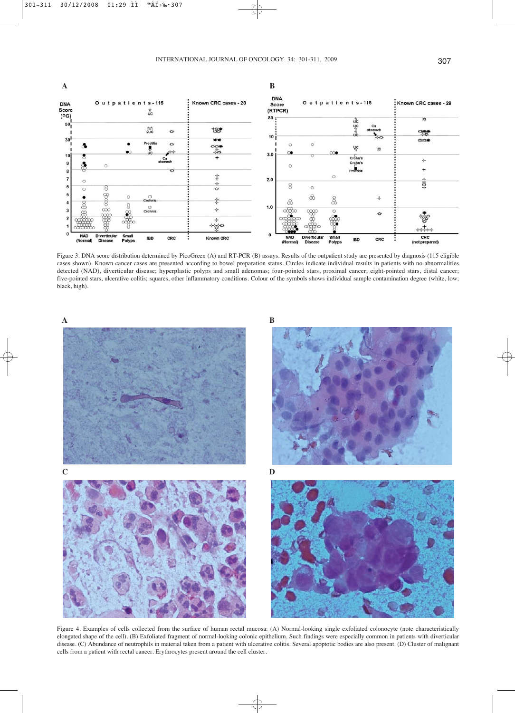

Figure 3. DNA score distribution determined by PicoGreen (A) and RT-PCR (B) assays. Results of the outpatient study are presented by diagnosis (115 eligible cases shown). Known cancer cases are presented according to bowel preparation status. Circles indicate individual results in patients with no abnormalities detected (NAD), diverticular disease; hyperplastic polyps and small adenomas; four-pointed stars, proximal cancer; eight-pointed stars, distal cancer; five-pointed stars, ulcerative colitis; squares, other inflammatory conditions. Colour of the symbols shows individual sample contamination degree (white, low; black, high).



Figure 4. Examples of cells collected from the surface of human rectal mucosa: (A) Normal-looking single exfoliated colonocyte (note characteristically elongated shape of the cell). (B) Exfoliated fragment of normal-looking colonic epithelium. Such findings were especially common in patients with diverticular disease. (C) Abundance of neutrophils in material taken from a patient with ulcerative colitis. Several apoptotic bodies are also present. (D) Cluster of malignant cells from a patient with rectal cancer. Erythrocytes present around the cell cluster.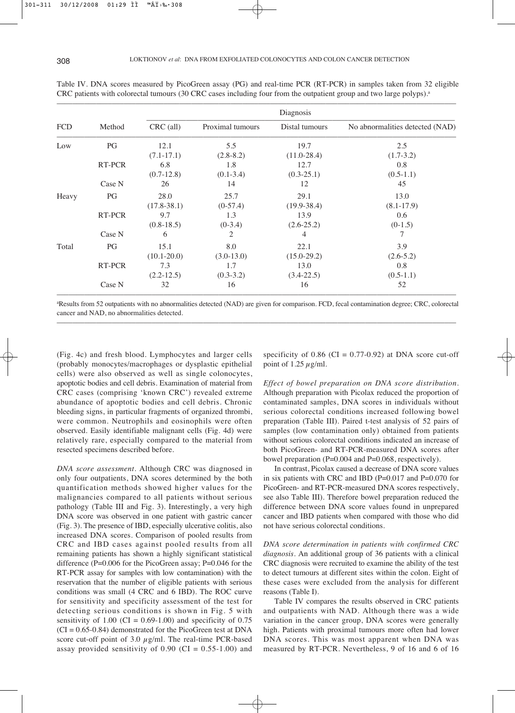|            | Method<br>PG | Diagnosis       |                  |                 |                                 |  |
|------------|--------------|-----------------|------------------|-----------------|---------------------------------|--|
| <b>FCD</b> |              | $CRC$ (all)     | Proximal tumours | Distal tumours  | No abnormalities detected (NAD) |  |
| Low        |              | 12.1            | 5.5              | 19.7            | 2.5                             |  |
|            |              | $(7.1 - 17.1)$  | $(2.8 - 8.2)$    | $(11.0 - 28.4)$ | $(1.7-3.2)$                     |  |
|            | RT-PCR       | 6.8             | 1.8              | 12.7            | 0.8                             |  |
|            |              | $(0.7-12.8)$    | $(0.1 - 3.4)$    | $(0.3 - 25.1)$  | $(0.5-1.1)$                     |  |
|            | Case N       | 26              | 14               | 12              | 45                              |  |
| Heavy      | PG           | 28.0            | 25.7             | 29.1            | 13.0                            |  |
|            |              | $(17.8 - 38.1)$ | $(0-57.4)$       | $(19.9 - 38.4)$ | $(8.1 - 17.9)$                  |  |
|            | RT-PCR       | 9.7             | 1.3              | 13.9            | 0.6                             |  |
|            |              | $(0.8-18.5)$    | $(0-3.4)$        | $(2.6 - 25.2)$  | $(0-1.5)$                       |  |
|            | Case N       | 6               | 2                | 4               | 7                               |  |
| Total      | PG           | 15.1            | 8.0              | 22.1            | 3.9                             |  |
|            |              | $(10.1 - 20.0)$ | $(3.0-13.0)$     | $(15.0 - 29.2)$ | $(2.6-5.2)$                     |  |
|            | RT-PCR       | 7.3             | 1.7              | 13.0            | 0.8                             |  |
|            |              | $(2.2 - 12.5)$  | $(0.3-3.2)$      | $(3.4 - 22.5)$  | $(0.5-1.1)$                     |  |
|            | Case N       | 32              | 16               | 16              | 52                              |  |

Table IV. DNA scores measured by PicoGreen assay (PG) and real-time PCR (RT-PCR) in samples taken from 32 eligible CRC patients with colorectal tumours (30 CRC cases including four from the outpatient group and two large polyps).<sup>a</sup>

a Results from 52 outpatients with no abnormalities detected (NAD) are given for comparison. FCD, fecal contamination degree; CRC, colorectal cancer and NAD, no abnormalities detected. –––––––––––––––––––––––––––––––––––––––––––––––––––––––––––––––––––––––––––––––––––––––––––––––––––––

(Fig. 4c) and fresh blood. Lymphocytes and larger cells (probably monocytes/macrophages or dysplastic epithelial cells) were also observed as well as single colonocytes, apoptotic bodies and cell debris. Examination of material from CRC cases (comprising 'known CRC') revealed extreme abundance of apoptotic bodies and cell debris. Chronic bleeding signs, in particular fragments of organized thrombi, were common. Neutrophils and eosinophils were often observed. Easily identifiable malignant cells (Fig. 4d) were relatively rare, especially compared to the material from resected specimens described before.

*DNA score assessment*. Although CRC was diagnosed in only four outpatients, DNA scores determined by the both quantification methods showed higher values for the malignancies compared to all patients without serious pathology (Table III and Fig. 3). Interestingly, a very high DNA score was observed in one patient with gastric cancer (Fig. 3). The presence of IBD, especially ulcerative colitis, also increased DNA scores. Comparison of pooled results from CRC and IBD cases against pooled results from all remaining patients has shown a highly significant statistical difference (P=0.006 for the PicoGreen assay; P=0.046 for the RT-PCR assay for samples with low contamination) with the reservation that the number of eligible patients with serious conditions was small (4 CRC and 6 IBD). The ROC curve for sensitivity and specificity assessment of the test for detecting serious conditions is shown in Fig. 5 with sensitivity of  $1.00$  (CI = 0.69-1.00) and specificity of 0.75  $(CI = 0.65 - 0.84)$  demonstrated for the PicoGreen test at DNA score cut-off point of 3.0  $\mu$ g/ml. The real-time PCR-based assay provided sensitivity of  $0.90$  (CI =  $0.55-1.00$ ) and

specificity of  $0.86$  (CI =  $0.77-0.92$ ) at DNA score cut-off point of 1.25  $\mu$ g/ml.

*Effect of bowel preparation on DNA score distribution*. Although preparation with Picolax reduced the proportion of contaminated samples, DNA scores in individuals without serious colorectal conditions increased following bowel preparation (Table III). Paired t-test analysis of 52 pairs of samples (low contamination only) obtained from patients without serious colorectal conditions indicated an increase of both PicoGreen- and RT-PCR-measured DNA scores after bowel preparation (P=0.004 and P=0.068, respectively).

In contrast, Picolax caused a decrease of DNA score values in six patients with CRC and IBD (P=0.017 and P=0.070 for PicoGreen- and RT-PCR-measured DNA scores respectively, see also Table III). Therefore bowel preparation reduced the difference between DNA score values found in unprepared cancer and IBD patients when compared with those who did not have serious colorectal conditions.

*DNA score determination in patients with confirmed CRC diagnosis*. An additional group of 36 patients with a clinical CRC diagnosis were recruited to examine the ability of the test to detect tumours at different sites within the colon. Eight of these cases were excluded from the analysis for different reasons (Table I).

Table IV compares the results observed in CRC patients and outpatients with NAD. Although there was a wide variation in the cancer group, DNA scores were generally high. Patients with proximal tumours more often had lower DNA scores. This was most apparent when DNA was measured by RT-PCR. Nevertheless, 9 of 16 and 6 of 16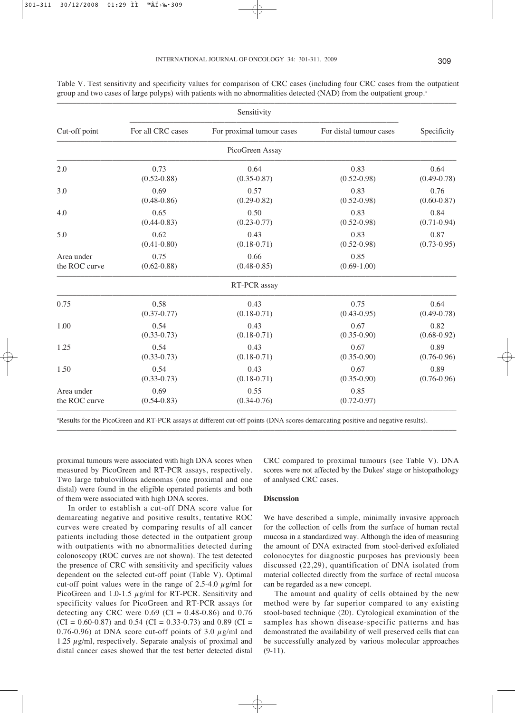|               |                   | Sensitivity               |                         |                 |  |  |
|---------------|-------------------|---------------------------|-------------------------|-----------------|--|--|
| Cut-off point | For all CRC cases | For proximal tumour cases | For distal tumour cases | Specificity     |  |  |
|               |                   | PicoGreen Assay           |                         |                 |  |  |
| 2.0           | 0.73              | 0.64                      | 0.83                    | 0.64            |  |  |
|               | $(0.52 - 0.88)$   | $(0.35 - 0.87)$           | $(0.52 - 0.98)$         | $(0.49 - 0.78)$ |  |  |
| 3.0           | 0.69              | 0.57                      | 0.83                    | 0.76            |  |  |
|               | $(0.48 - 0.86)$   | $(0.29 - 0.82)$           | $(0.52 - 0.98)$         | $(0.60 - 0.87)$ |  |  |
| 4.0           | 0.65              | 0.50                      | 0.83                    | 0.84            |  |  |
|               | $(0.44 - 0.83)$   | $(0.23 - 0.77)$           | $(0.52 - 0.98)$         | $(0.71 - 0.94)$ |  |  |
| 5.0           | 0.62              | 0.43                      | 0.83                    | 0.87            |  |  |
|               | $(0.41 - 0.80)$   | $(0.18 - 0.71)$           | $(0.52 - 0.98)$         | $(0.73 - 0.95)$ |  |  |
| Area under    | 0.75              | 0.66                      | 0.85                    |                 |  |  |
| the ROC curve | $(0.62 - 0.88)$   | $(0.48 - 0.85)$           | $(0.69 - 1.00)$         |                 |  |  |
|               |                   | RT-PCR assay              |                         |                 |  |  |
| 0.75          | 0.58              | 0.43                      | 0.75                    | 0.64            |  |  |
|               | $(0.37 - 0.77)$   | $(0.18 - 0.71)$           | $(0.43 - 0.95)$         | $(0.49 - 0.78)$ |  |  |
| 1.00          | 0.54              | 0.43                      | 0.67                    | 0.82            |  |  |
|               | $(0.33 - 0.73)$   | $(0.18 - 0.71)$           | $(0.35 - 0.90)$         | $(0.68 - 0.92)$ |  |  |
| 1.25          | 0.54              | 0.43                      | 0.67                    | 0.89            |  |  |
|               | $(0.33 - 0.73)$   | $(0.18 - 0.71)$           | $(0.35 - 0.90)$         | $(0.76 - 0.96)$ |  |  |
| 1.50          | 0.54              | 0.43                      | 0.67                    | 0.89            |  |  |
|               | $(0.33 - 0.73)$   | $(0.18 - 0.71)$           | $(0.35 - 0.90)$         | $(0.76 - 0.96)$ |  |  |
| Area under    | 0.69              | 0.55                      | 0.85                    |                 |  |  |
| the ROC curve | $(0.54 - 0.83)$   | $(0.34 - 0.76)$           | $(0.72 - 0.97)$         |                 |  |  |

Table V. Test sensitivity and specificity values for comparison of CRC cases (including four CRC cases from the outpatient group and two cases of large polyps) with patients with no abnormalities detected (NAD) from the outpatient group.<sup>a</sup>

a Results for the PicoGreen and RT-PCR assays at different cut-off points (DNA scores demarcating positive and negative results).

–––––––––––––––––––––––––––––––––––––––––––––––––––––––––––––––––––––––––––––––––––––––––––––––––––––

proximal tumours were associated with high DNA scores when measured by PicoGreen and RT-PCR assays, respectively. Two large tubulovillous adenomas (one proximal and one distal) were found in the eligible operated patients and both of them were associated with high DNA scores.

In order to establish a cut-off DNA score value for demarcating negative and positive results, tentative ROC curves were created by comparing results of all cancer patients including those detected in the outpatient group with outpatients with no abnormalities detected during colonoscopy (ROC curves are not shown). The test detected the presence of CRC with sensitivity and specificity values dependent on the selected cut-off point (Table V). Optimal cut-off point values were in the range of 2.5-4.0  $\mu$ g/ml for PicoGreen and 1.0-1.5  $\mu$ g/ml for RT-PCR. Sensitivity and specificity values for PicoGreen and RT-PCR assays for detecting any CRC were  $0.69$  (CI =  $0.48 - 0.86$ ) and  $0.76$  $(CI = 0.60 - 0.87)$  and 0.54  $(CI = 0.33 - 0.73)$  and 0.89  $(CI = 0.60 - 0.87)$ 0.76-0.96) at DNA score cut-off points of 3.0  $\mu$ g/ml and 1.25  $\mu$ g/ml, respectively. Separate analysis of proximal and distal cancer cases showed that the test better detected distal

CRC compared to proximal tumours (see Table V). DNA scores were not affected by the Dukes' stage or histopathology of analysed CRC cases.

## **Discussion**

We have described a simple, minimally invasive approach for the collection of cells from the surface of human rectal mucosa in a standardized way. Although the idea of measuring the amount of DNA extracted from stool-derived exfoliated colonocytes for diagnostic purposes has previously been discussed (22,29), quantification of DNA isolated from material collected directly from the surface of rectal mucosa can be regarded as a new concept.

The amount and quality of cells obtained by the new method were by far superior compared to any existing stool-based technique (20). Cytological examination of the samples has shown disease-specific patterns and has demonstrated the availability of well preserved cells that can be successfully analyzed by various molecular approaches (9-11).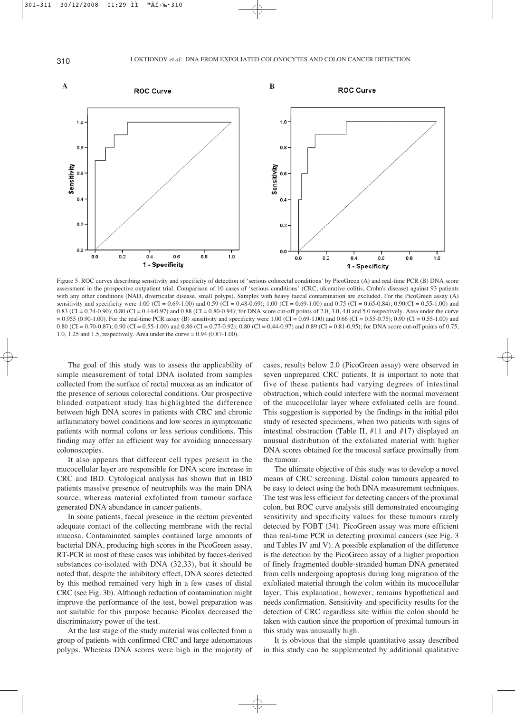

Figure 5. ROC curves describing sensitivity and specificity of detection of 'serious colorectal conditions' by PicoGreen (A) and real-time PCR (B) DNA score assessment in the prospective outpatient trial. Comparison of 10 cases of 'serious conditions' (CRC, ulcerative colitis, Crohn's disease) against 93 patients with any other conditions (NAD, diverticular disease, small polyps). Samples with heavy faecal contamination are excluded. For the PicoGreen assay (A) sensitivity and specificity were 1.00 (CI = 0.69-1.00) and 0.59 (CI = 0.48-0.69); 1.00 (CI = 0.69-1.00) and 0.75 (CI = 0.65-0.84); 0.90(CI = 0.55-1.00) and 0.83 (CI = 0.74-0.90); 0.80 (CI = 0.44-0.97) and 0.88 (CI = 0.80-0.94); for DNA score cut-off points of 2.0, 3.0, 4.0 and 5.0 respectively. Area under the curve  $= 0.955 (0.90-1.00)$ . For the real-time PCR assay (B) sensitivity and specificity were 1.00 (CI = 0.69-1.00) and 0.66 (CI = 0.55-0.75); 0.90 (CI = 0.55-1.00) and 0.80 (CI = 0.70-0.87); 0.90 (CI = 0.55-1.00) and 0.86 (CI = 0.77-0.92); 0.80 (CI = 0.44-0.97) and 0.89 (CI = 0.81-0.95); for DNA score cut-off points of 0.75, 1.0, 1.25 and 1.5, respectively. Area under the curve = 0.94 (0.87-1.00).

The goal of this study was to assess the applicability of simple measurement of total DNA isolated from samples collected from the surface of rectal mucosa as an indicator of the presence of serious colorectal conditions. Our prospective blinded outpatient study has highlighted the difference between high DNA scores in patients with CRC and chronic inflammatory bowel conditions and low scores in symptomatic patients with normal colons or less serious conditions. This finding may offer an efficient way for avoiding unnecessary colonoscopies.

It also appears that different cell types present in the mucocellular layer are responsible for DNA score increase in CRC and IBD. Cytological analysis has shown that in IBD patients massive presence of neutrophils was the main DNA source, whereas material exfoliated from tumour surface generated DNA abundance in cancer patients.

In some patients, faecal presence in the rectum prevented adequate contact of the collecting membrane with the rectal mucosa. Contaminated samples contained large amounts of bacterial DNA, producing high scores in the PicoGreen assay. RT-PCR in most of these cases was inhibited by faeces-derived substances co-isolated with DNA (32,33), but it should be noted that, despite the inhibitory effect, DNA scores detected by this method remained very high in a few cases of distal CRC (see Fig. 3b). Although reduction of contamination might improve the performance of the test, bowel preparation was not suitable for this purpose because Picolax decreased the discriminatory power of the test.

At the last stage of the study material was collected from a group of patients with confirmed CRC and large adenomatous polyps. Whereas DNA scores were high in the majority of cases, results below 2.0 (PicoGreen assay) were observed in seven unprepared CRC patients. It is important to note that five of these patients had varying degrees of intestinal obstruction, which could interfere with the normal movement of the mucocellular layer where exfoliated cells are found. This suggestion is supported by the findings in the initial pilot study of resected specimens, when two patients with signs of intestinal obstruction (Table II, #11 and #17) displayed an unusual distribution of the exfoliated material with higher DNA scores obtained for the mucosal surface proximally from the tumour.

The ultimate objective of this study was to develop a novel means of CRC screening. Distal colon tumours appeared to be easy to detect using the both DNA measurement techniques. The test was less efficient for detecting cancers of the proximal colon, but ROC curve analysis still demonstrated encouraging sensitivity and specificity values for these tumours rarely detected by FOBT (34). PicoGreen assay was more efficient than real-time PCR in detecting proximal cancers (see Fig. 3 and Tables IV and V). A possible explanation of the difference is the detection by the PicoGreen assay of a higher proportion of finely fragmented double-stranded human DNA generated from cells undergoing apoptosis during long migration of the exfoliated material through the colon within its mucocellular layer. This explanation, however, remains hypothetical and needs confirmation. Sensitivity and specificity results for the detection of CRC regardless site within the colon should be taken with caution since the proportion of proximal tumours in this study was unusually high.

It is obvious that the simple quantitative assay described in this study can be supplemented by additional qualitative